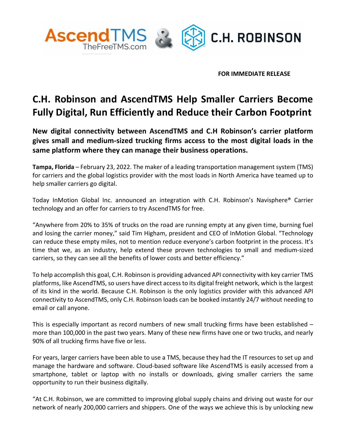

**FOR IMMEDIATE RELEASE**

## **C.H. Robinson and AscendTMS Help Smaller Carriers Become Fully Digital, Run Efficiently and Reduce their Carbon Footprint**

**New digital connectivity between AscendTMS and C.H Robinson's carrier platform gives small and medium-sized trucking firms access to the most digital loads in the same platform where they can manage their business operations.** 

**Tampa, Florida** – February 23, 2022. The maker of a leading transportation management system (TMS) for carriers and the global logistics provider with the most loads in North America have teamed up to help smaller carriers go digital.

Today InMotion Global Inc. announced an integration with C.H. Robinson's Navisphere® Carrier technology and an offer for carriers to try AscendTMS for free.

"Anywhere from 20% to 35% of trucks on the road are running empty at any given time, burning fuel and losing the carrier money," said Tim Higham, president and CEO of InMotion Global. "Technology can reduce these empty miles, not to mention reduce everyone's carbon footprint in the process. It's time that we, as an industry, help extend these proven technologies to small and medium-sized carriers, so they can see all the benefits of lower costs and better efficiency."

To help accomplish this goal, C.H. Robinson is providing advanced API connectivity with key carrier TMS platforms, like AscendTMS, so users have direct access to its digital freight network, which is the largest of its kind in the world. Because C.H. Robinson is the only logistics provider with this advanced API connectivity to AscendTMS, only C.H. Robinson loads can be booked instantly 24/7 without needing to email or call anyone.

This is especially important as record numbers of new small trucking firms have been established – more than 100,000 in the past two years. Many of these new firms have one or two trucks, and nearly 90% of all trucking firms have five or less.

For years, larger carriers have been able to use a TMS, because they had the IT resources to set up and manage the hardware and software. Cloud-based software like AscendTMS is easily accessed from a smartphone, tablet or laptop with no installs or downloads, giving smaller carriers the same opportunity to run their business digitally.

"At C.H. Robinson, we are committed to improving global supply chains and driving out waste for our network of nearly 200,000 carriers and shippers. One of the ways we achieve this is by unlocking new